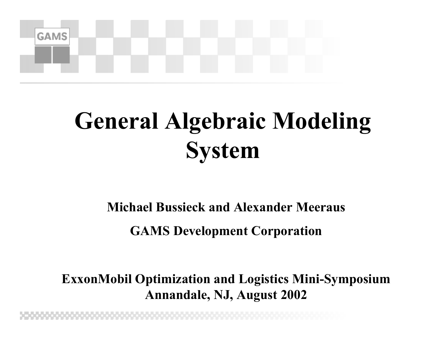

## **General Algebraic Modeling System**

#### **Michael Bussieck and Alexander Meeraus**

**GAMS Development Corporation**

**ExxonMobil Optimization and Logistics Mini-Symposium Annandale, NJ, August 2002**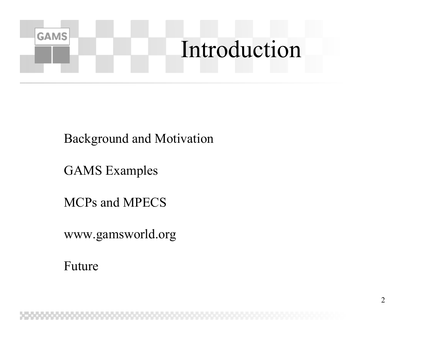

Background and Motivation

GAMS Examples

MCPs and MPECS

www.gamsworld.org

Future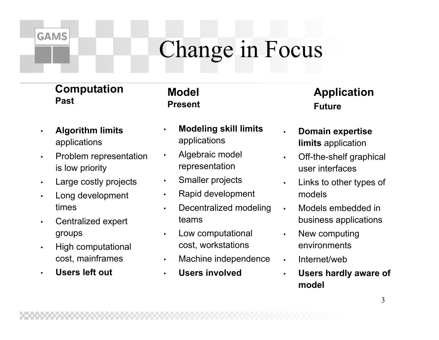## Change in Focus

#### **Computation Past**

**GAMS** 

- • **Algorithm limits**  applications
- • Problem representation is low priority
- •Large costly projects
- Long development times
- • Centralized expert groups
- • High computational cost, mainframes
- •**Users left out**

#### **Model Present**

- • **Modeling skill limits** applications
- • Algebraic model representation
- •Smaller projects
- •Rapid development
- • Decentralized modeling teams
- • Low computational cost, workstations
- •Machine independence
- •**Users involved**

#### **Application Future**

- • **Domain expertise limits** application
- • Off-the-shelf graphical user interfaces
- • Links to other types of models
	- Models embedded in business applications
- • New computing environments
- •Internet/web

•

•

 **Users hardly aware of model**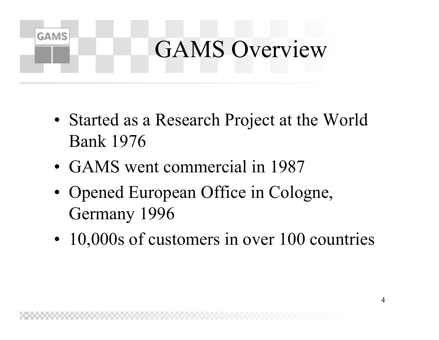# GAMS Overview

- Started as a Research Project at the World Bank 1976
- GAMS went commercial in 1987

- Opened European Office in Cologne, Germany 1996
- 10,000s of customers in over 100 countries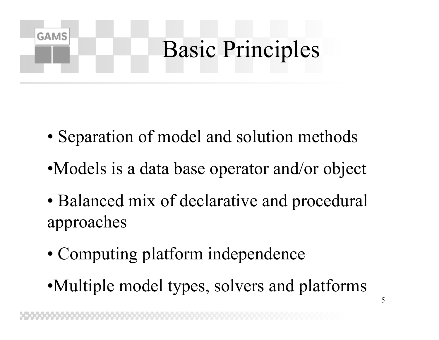

- Separation of model and solution methods
- •Models is a data base operator and/or object
- Balanced mix of declarative and procedural approaches
- Computing platform independence
- •Multiple model types, solvers and platforms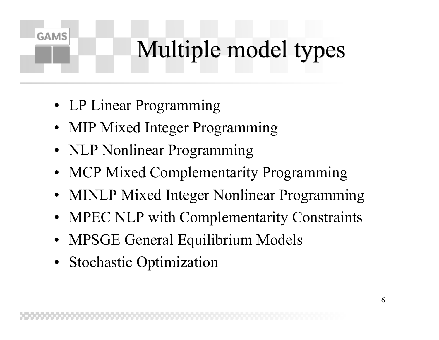## Multiple model types

• LP Linear Programming

- MIP Mixed Integer Programming
- NLP Nonlinear Programming
- MCP Mixed Complementarity Programming
- MINLP Mixed Integer Nonlinear Programming
- MPEC NLP with Complementarity Constraints
- MPSGE General Equilibrium Models
- Stochastic Optimization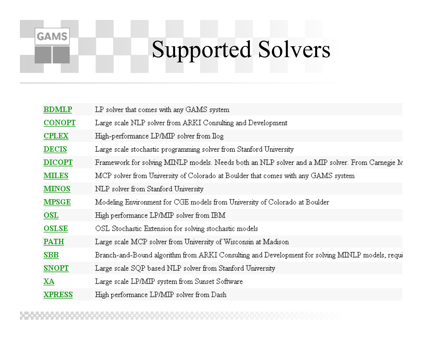## Supported Solvers

| <b>BDMLP</b>  | LP solver that comes with any GAMS system                                                       |
|---------------|-------------------------------------------------------------------------------------------------|
| <b>CONOPT</b> | Large scale NLP solver from ARKI Consulting and Development                                     |
| <b>CPLEX</b>  | High-performance LP/MIP solver from Ilog                                                        |
| <b>DECIS</b>  | Large scale stochastic programming solver from Stanford University                              |
| <b>DICOPT</b> | Framework for solving MINLP models. Needs both an NLP solver and a MIP solver. From Carnegie N  |
| <b>MILES</b>  | MCP solver from University of Colorado at Boulder that comes with any GAMS system               |
| <b>MINOS</b>  | NLP solver from Stanford University                                                             |
| <b>MPSGE</b>  | Modeling Environment for CGE models from University of Colorado at Boulder                      |
| OSL           | High performance LP/MIP solver from IBM                                                         |
| <b>OSLSE</b>  | OSL Stochastic Extension for solving stochastic models                                          |
| <b>PATH</b>   | Large scale MCP solver from University of Wisconsin at Madison                                  |
| SBB           | Branch-and-Bound algorithm from ARKI Consulting and Development for solving MINLP models, requi |
| <b>SNOPT</b>  | Large scale SQP based NLP solver from Stanford University                                       |
| XA            | Large scale LP/MIP system from Sunset Software.                                                 |
| <b>XPRESS</b> | High performance LP/MIP solver from Dash                                                        |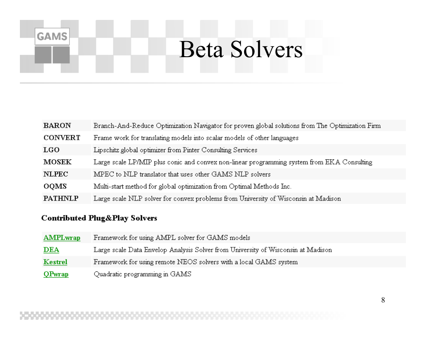### Beta Solvers

| <b>BARON</b>   | Branch-And-Reduce Optimization Navigator for proven global solutions from The Optimization Firm |
|----------------|-------------------------------------------------------------------------------------------------|
| <b>CONVERT</b> | Frame work for translating models into scalar models of other languages                         |
| <b>LGO</b>     | Lipschitz global optimizer from Pinter Consulting Services                                      |
| <b>MOSEK</b>   | Large scale LP/MIP plus conic and convex non-linear programming system from EKA Consulting      |
| <b>NLPEC</b>   | MPEC to NLP translator that uses other GAMS NLP solvers                                         |
| <b>OOMS</b>    | Multi-start method for global optimization from Optimal Methods Inc.                            |
| <b>PATHNLP</b> | Large scale NLP solver for convex problems from University of Wisconsin at Madison              |

#### **Contributed Plug&Play Solvers**

| <b>AMPLwrap</b> | Framework for using AMPL solver for GAMS models                                  |
|-----------------|----------------------------------------------------------------------------------|
| DEA             | Large scale Data Envelop Analysis Solver from University of Wisconsin at Madison |
| Kestrel         | Framework for using remote NEOS solvers with a local GAMS system                 |
| <b>QPwrap</b>   | Quadratic programming in GAMS                                                    |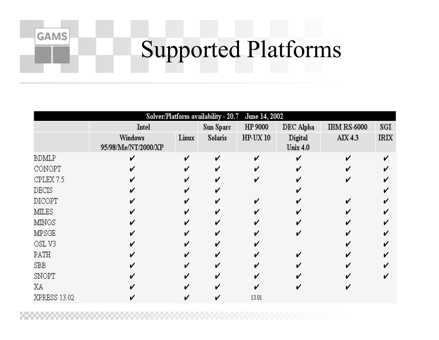## Supported Platforms

|              |                                       |       |                | Solver/Platform availability - 20.7 June 14, 2002 |                            |                    |             |
|--------------|---------------------------------------|-------|----------------|---------------------------------------------------|----------------------------|--------------------|-------------|
|              | Intel                                 |       | Sun Sparc      | HP 9000                                           | DEC Alpha                  | <b>IBM RS-6000</b> | SGI         |
|              | <b>Windows</b><br>95/98/Me/NT/2000/XP | Linux | <b>Solaris</b> | HP-UX 10                                          | Digital<br><b>Unix 4.0</b> | AIX 4.3            | <b>IRIX</b> |
| <b>BDMLP</b> |                                       |       | ✓              |                                                   | ┙                          |                    |             |
| CONOPT       |                                       |       |                |                                                   |                            |                    |             |
| CPLEX 7.5    |                                       |       |                |                                                   |                            |                    |             |
| <b>DECIS</b> |                                       |       |                |                                                   |                            |                    |             |
| DICOPT       |                                       |       |                |                                                   |                            |                    |             |
| <b>MILES</b> |                                       |       |                |                                                   |                            |                    |             |
| <b>MINOS</b> |                                       |       |                |                                                   |                            |                    |             |
| <b>MPSGE</b> |                                       |       |                |                                                   |                            |                    |             |
| OSL V3       |                                       |       |                |                                                   |                            |                    |             |
| PATH         |                                       |       |                |                                                   |                            |                    |             |
| SBB          |                                       |       |                |                                                   |                            |                    |             |
| SNOPT        |                                       |       |                |                                                   |                            |                    |             |
| ΧA           |                                       |       |                |                                                   |                            |                    |             |
| XPRESS 13.02 |                                       |       |                | 13.01                                             |                            |                    |             |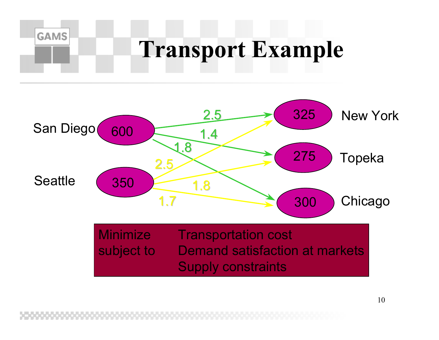



Supply constraints

10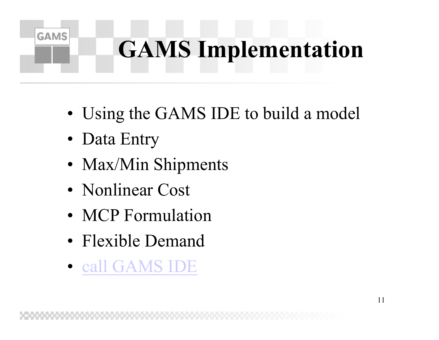# **GAMS Implementation**

- Using the GAMS IDE to build a model
- Data Entry

- Max/Min Shipments
- Nonlinear Cost
- MCP Formulation
- Flexible Demand
- call GAMS IDE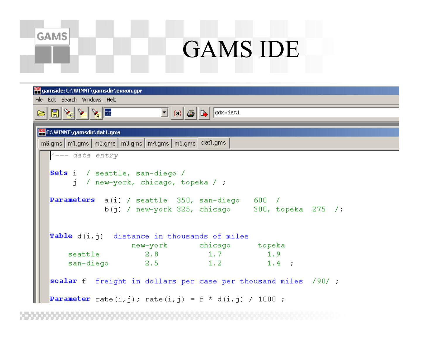### GAMS IDE

| gamside: C:\WINNT\gamsdir\exxon.gpr                                                                          |  |  |  |  |  |  |  |  |  |  |  |
|--------------------------------------------------------------------------------------------------------------|--|--|--|--|--|--|--|--|--|--|--|
| File Edit Search Windows Help                                                                                |  |  |  |  |  |  |  |  |  |  |  |
| طمالا احا‰ا⊠ات<br>$\mathbf{I}$ (a) $\mathbf{B}$ $\mathbf{B}$ $\mathbf{B}$ $\mathbf{B}$                       |  |  |  |  |  |  |  |  |  |  |  |
| <b>PEC:\WINNT\gamsdir\dat1.gms</b>                                                                           |  |  |  |  |  |  |  |  |  |  |  |
| m6.gms   m1.gms   m2.gms   m3.gms   m4.gms   m5.gms   dat1.gms                                               |  |  |  |  |  |  |  |  |  |  |  |
| *--- data entry                                                                                              |  |  |  |  |  |  |  |  |  |  |  |
| Sets i / seattle, san-diego /<br>$j$ / new-york, chicago, topeka / ;                                         |  |  |  |  |  |  |  |  |  |  |  |
| <b>Parameters</b> $a(i)$ / seattle 350, san-diego 600 /<br>$b(j)$ / new-york 325, chicago 300, topeka 275 /; |  |  |  |  |  |  |  |  |  |  |  |
| <b>Table</b> $d(i, j)$ distance in thousands of miles                                                        |  |  |  |  |  |  |  |  |  |  |  |
| new-york chicago topeka<br>seattle 2.8 1.7 1.9                                                               |  |  |  |  |  |  |  |  |  |  |  |
| san-diego 2.5 1.2 1.4;                                                                                       |  |  |  |  |  |  |  |  |  |  |  |
| scalar f freight in dollars per case per thousand miles /90/;                                                |  |  |  |  |  |  |  |  |  |  |  |
| <b>Parameter</b> rate(i,j); rate(i,j) = f * d(i,j) / 1000;                                                   |  |  |  |  |  |  |  |  |  |  |  |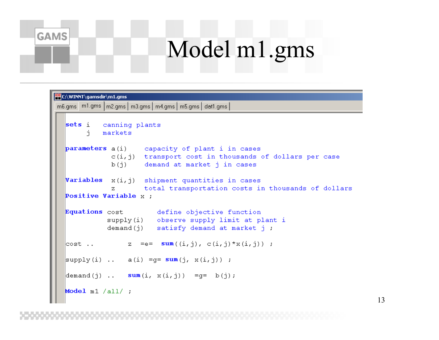## Model m1.gms

| E:\WINNT\gamsdir\m1.gms                                                                                                                       |  |
|-----------------------------------------------------------------------------------------------------------------------------------------------|--|
| m6.gms m1.gms   m2.gms   m3.gms   m4.gms   m5.gms   dat1.gms                                                                                  |  |
| sets i canning plants<br>i markets                                                                                                            |  |
| parameters a(i) capacity of plant i in cases<br>$c(i, j)$ transport cost in thousands of dollars per case<br>b(j) demand at market j in cases |  |
| <b>Variables</b> $x(i, j)$ shipment quantities in cases<br>z total transportation costs in thousands of dollars                               |  |
| Positive Variable $x$ ;                                                                                                                       |  |
| Equations cost define objective function<br>supply(i) observe supply limit at plant i<br>demand(j) satisfy demand at market j;                |  |
| $\vert \texttt{cost} \vert$ z = e = $\texttt{sum}((i,j), c(i,j) * x(i,j))$ ;                                                                  |  |
| $\ket{\text{supply}(i)}$ a(i) =g= sum(j, x(i,j)) ;                                                                                            |  |
| $\begin{bmatrix} \text{demand}(j) & \dots & \text{sum}(i, x(i,j)) & =g = b(j); \end{bmatrix}$                                                 |  |
| Model $m1 / a11 /$ ;                                                                                                                          |  |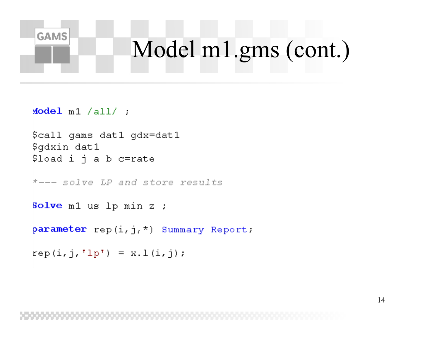## Model m1.gms (cont.)

 $Model$  m1 /all/ ;

**GAMS** 

```
$call qams dat1 qdx=dat1
$gdxin dat1
$load i \eta a b c=rate
```
\*--- solve LP and store results

**Solve** m1 us 1p min z ;

parameter rep(i,j,\*) Summary Report:

 $rep(i, j, 'lp') = x.l(i, j);$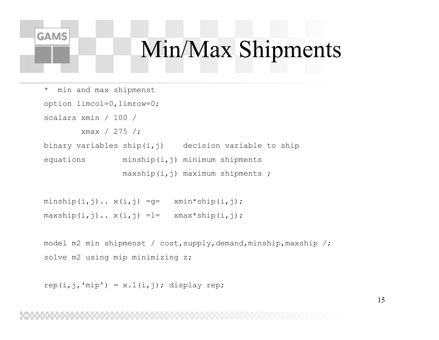### Min/Max Shipments

```
* min and max shipmenst
option limcol=0,limrow=0;
scalars xmin / 100 /
       xmax / 275 /;
binary variables ship(i, j) decision variable to ship
equations minship(i,j) minimum shipments
                maxship(i,j) maximum shipments ;
```

```
minship(i,j).. x(i,j) =q= min*ship(i,j);maxship(i,j).. x(i,j) = l= xmax*ship(i,j);
```

```
model m2 min shipmenst / cost, supply, demand, minship, maxship /;
solve m2 using mip minimizing z;
```

```
rep(i,j,'mip') = x.l(i, j); display rep;
```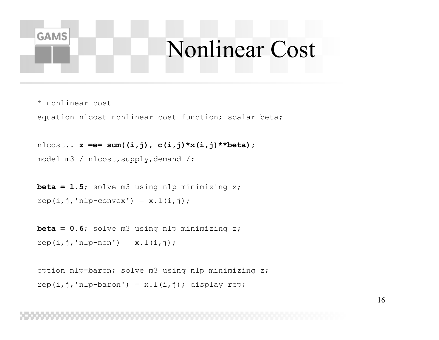### Nonlinear Cost

\* nonlinear cost

**GAMS** 

equation nlcost nonlinear cost function; scalar beta;

nlcost.. **z =e= sum((i,j), c(i,j)\*x(i,j)\*\*beta);** model m3 / nlcost, supply, demand /;

**beta = 1.5**; solve m3 using nlp minimizing z; rep( $i$ , $j$ ,'nlp-convex') =  $x.l(i,j)$ ;

**beta = 0.6**; solve m3 using nlp minimizing z; rep( $i$ , $j$ ,'nlp-non') =  $x.l(i, j)$ ;

```
option nlp=baron; solve m3 using nlp minimizing z;
rep(i,j,'nlp-baron') = x.l(i,j); display rep;
```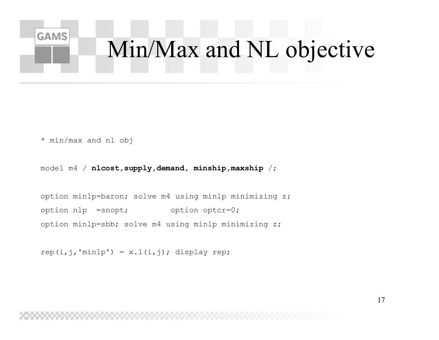# Min/Max and NL objective

\* min/max and nl obj

**GAMS** 

model m4 / **nlcost,supply,demand, minship,maxship** /;

option minlp=baron; solve m4 using minlp minimizing z; option nlp =snopt; option optcr=0; option minlp=sbb; solve m4 using minlp minimizing z;

rep( $i$ , $j$ ,'minlp') = x.l( $i$ , $j$ ); display rep;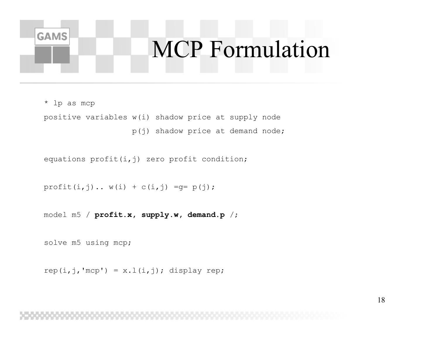### MCP Formulation

\* lp as mcp

**GAMS** 

positive variables w(i) shadow price at supply node p(j) shadow price at demand node;

equations  $profit(i, j)$  zero profit condition;

```
profit(i,j).. w(i) + c(i,j) = q = p(j);
```
model m5 / **profit.x, supply.w, demand.p** /;

solve m5 using mcp;

rep( $i$ , $j$ ,'mcp') = x. $l(i, j)$ ; display rep;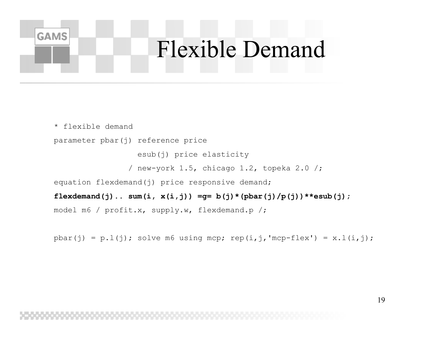### Flexible Demand

\* flexible demandparameter pbar(j) reference price esub(j) price elasticity / new-york 1.5, chicago 1.2, topeka 2.0 /; equation flexdemand(j) price responsive demand;  $flexdemand(j)$ .. sum $(i, x(i,j))$  =g=  $b(j)*(pbar(j)/p(j))**$ esub(j); model m6 / profit.x, supply.w, flexdemand.p /;

**GAMS** 

pbar(j) = p.l(j); solve m6 using mcp; rep(i,j,'mcp-flex') =  $x.l(i,j)$ ;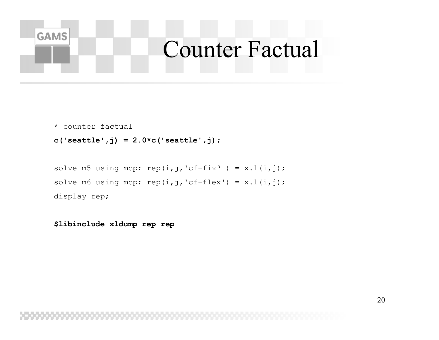### **GAMS** Counter Factual

\* counter factual

```
c('seattle',j) = 2.0*c('seattle',j);
```

```
solve m5 using mcp; rep(i,j,'cf-fix' ) = x.l(i,j);solve m6 using mcp; rep(i,j,'cf-flex') = x.l(i,j);display rep;
```
**\$libinclude xldump rep rep**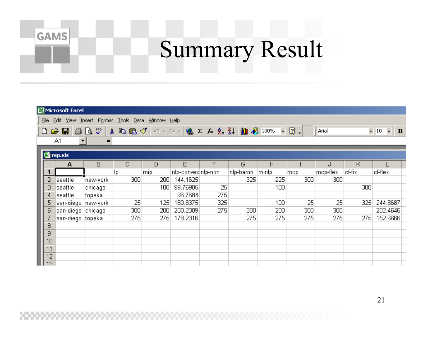## Summary Result

| Microsoft Excel                                                                   |                     |          |     |     |                     |     |           |       |     |          |        |          |  |
|-----------------------------------------------------------------------------------|---------------------|----------|-----|-----|---------------------|-----|-----------|-------|-----|----------|--------|----------|--|
| File Edit View Insert Format Tools Data Window Help                               |                     |          |     |     |                     |     |           |       |     |          |        |          |  |
| 6 Q V<br>$D \ncong \blacksquare$<br>$-10$<br>$\bullet$ .<br>Arial<br>$\mathbf{B}$ |                     |          |     |     |                     |     |           |       |     |          |        |          |  |
|                                                                                   | A <sub>1</sub><br>▾ | Ξ        |     |     |                     |     |           |       |     |          |        |          |  |
| 图 rep.xls                                                                         |                     |          |     |     |                     |     |           |       |     |          |        |          |  |
|                                                                                   | A                   | В        | C   | D   | E                   | F   | G         | H     |     |          | Κ      |          |  |
| 1                                                                                 |                     |          | lp. | mip | nlp-convex nlp-non- |     | nlp-baron | minlp | mcp | mcp-flex | cf-fix | cf-flex  |  |
| $\overline{2}$                                                                    | seattle             | new-york | 300 | 200 | 144.1625            |     | 325       | 225   | 300 | 300      |        |          |  |
| 3                                                                                 | seattle             | chicago  |     | 100 | 99.76905            | 25  |           | 100   |     |          | 300    |          |  |
| 4                                                                                 | seattle             | topeka   |     |     | 96.7684             | 275 |           |       |     |          |        |          |  |
| 5                                                                                 | san-diego  new-york |          | 25  | 125 | 180.8375            | 325 |           | 100   | 25  | 25       | 325    | 244.8687 |  |
| 6                                                                                 | san-diego   chicago |          | 300 | 200 | 200.2309            | 275 | 300       | 200   | 300 | 300      |        | 202.4646 |  |
|                                                                                   | san-diego topeka    |          | 275 | 275 | 178.2316            |     | 275       | 275   | 275 | 275      | 275    | 152.6666 |  |
| 8                                                                                 |                     |          |     |     |                     |     |           |       |     |          |        |          |  |
| 9                                                                                 |                     |          |     |     |                     |     |           |       |     |          |        |          |  |
| 10                                                                                |                     |          |     |     |                     |     |           |       |     |          |        |          |  |
| 11                                                                                |                     |          |     |     |                     |     |           |       |     |          |        |          |  |
| 12                                                                                |                     |          |     |     |                     |     |           |       |     |          |        |          |  |
| 13                                                                                |                     |          |     |     |                     |     |           |       |     |          |        |          |  |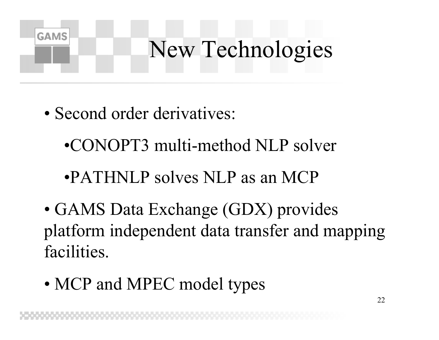## New Technologies

• Second order derivatives:

- •CONOPT3 multi-method NLP solver
- •PATHNLP solves NLP as an MCP
- GAMS Data Exchange (GDX) provides platform independent data transfer and mapping facilities.
- MCP and MPEC model types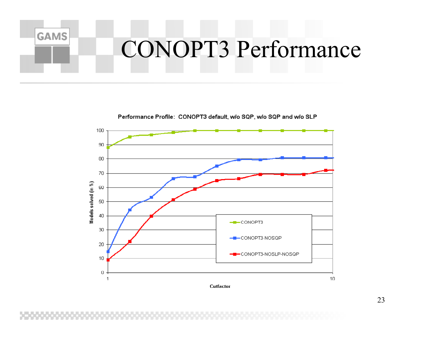### **GAMS** CONOPT3 Performance

Performance Profile: CONOPT3 default, w/o SQP, w/o SQP and w/o SLP



Cutfactor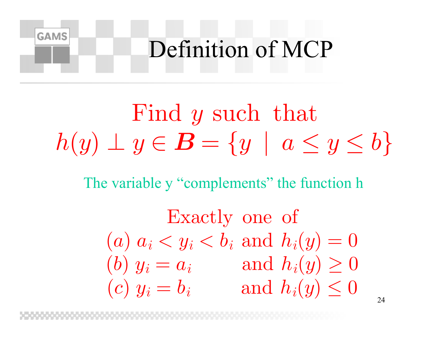### **GAMS** Definition of MCP

 $\operatorname{Find}\, y$  such that  $\bm{h}$  $(y) \perp y \in B =$  $\{y \mid a \leq y \leq b\}$ 

The variable y "complements" the function h

Exactly one of  $\Big($  $\big(a\big)$  $a_i < y_i < b_i$  and  $h_i(y) = 0$  $(b)$   $y_i$  $= a_i$  and  $h_i(y) \geq 0$  $\Big($  $\left( c\right) \,y_{i}$  $i = b_i$  and  $h_i(y) \leq 0$ 

24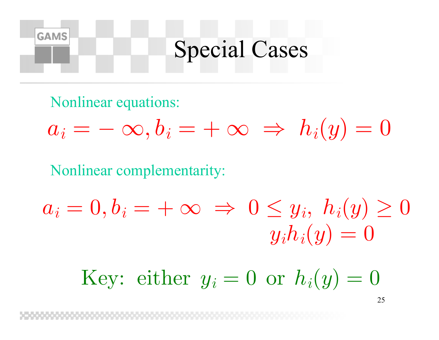### Special Cases

Nonlinear equations:

**GAMS** 

$$
a_i=-\,\infty, b_i=+\,\infty \; \Rightarrow \; h_i(y)=0
$$

Nonlinear complementarity:

$$
a_i=0, b_i=+\infty \ \Rightarrow \ 0\leq y_i, \ h_i(y)\geq 0\\ y_ih_i(y)=0
$$

Key: either  $y_i = 0$  or  $h_i(y) = 0$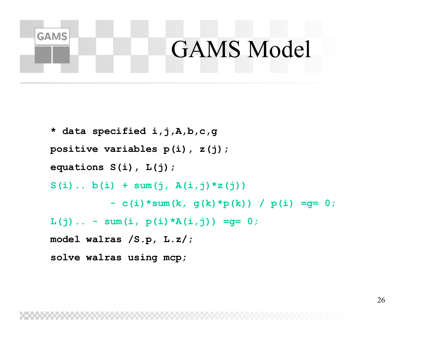### GAMS Model

```
* data specified i,j,A,b,c,g
positive variables p(i), z(j);
equations S(i), L(j);
S(i).. b(i) + sum(j, A(i,j)*z(j)) 
          - c(i)*sum(k, g(k)*p(k)) / p(i) =g= 0;
L(j).. – sum(i, p(i)*A(i,j)) =g= 0;
model walras /S.p, L.z/;
solve walras using mcp;
```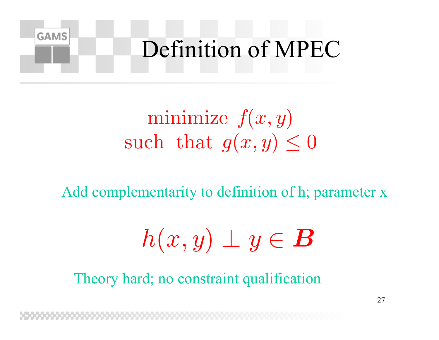

### $\operatorname{minimize}~ f(x,y)$  $\text{such that } g(x,y) \leq 0$

Add complementarity to definition of h; parameter x

$$
h(x,y)\perp y\in\boldsymbol{B}
$$

Theory hard; no constraint qualification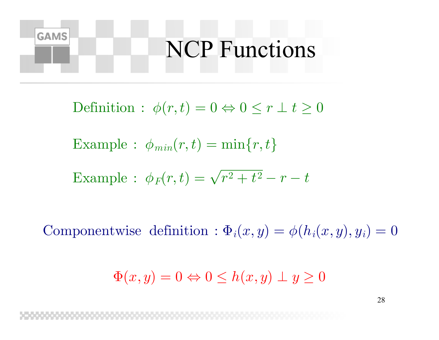### NCP Functions

Definition :  $\phi(r,t)=0\Leftrightarrow 0\leq r\perp t\geq 0$ 

Example :  $\phi_{min}(r,t) = \min\{r,t\}$ 

**GAMS** 

Example: 
$$
\phi_F(r,t) = \sqrt{r^2 + t^2} - r - t
$$

Componentwise definition :  $\Phi_i(x,y) = \phi(h_i(x,y), y_i) = 0$ 

$$
\Phi(x, y) = 0 \Leftrightarrow 0 \le h(x, y) \perp y \ge 0
$$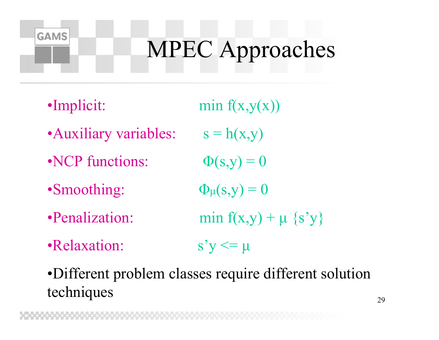# MPEC Approaches

**GAMS** 

- •Auxiliary variables:  $s = h(x,y)$
- •NCP functions:
- •Smoothing:
- 
- •Relaxation:  $s'y \leq \mu$

•Implicit: min  $f(x,y(x))$  $\Phi(s,y) = 0$  $\Phi_{\mu}(\rm{s},y)=0$ •Penalization: min  $f(x,y) + \mu \{s'y\}$ 

•Different problem classes require different solution techniques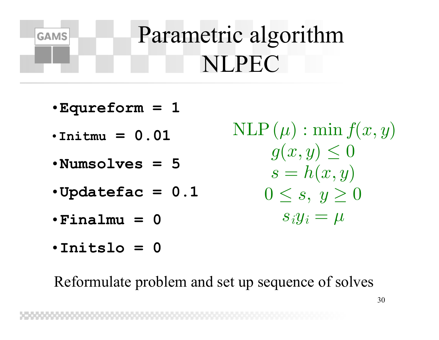## Parametric algorithm **NLPEC**

 $\cdot$ Equreform = 1

**GAMS** 

- $\cdot$ Initmu = 0.01
- $\cdot$ Numsolves = 5
- $\cdot$ Updatefac = 0.1
- $\cdot$ Finalmu = 0
- $\cdot$ Initslo = 0

Reformulate problem and set up sequence of solves

 $NLP(\mu) : \min f(x, y)$  $g(x,y) \leq 0$  $s = h(x, y)$  $0 \leq s, y \geq 0$  $s_i y_i = \mu$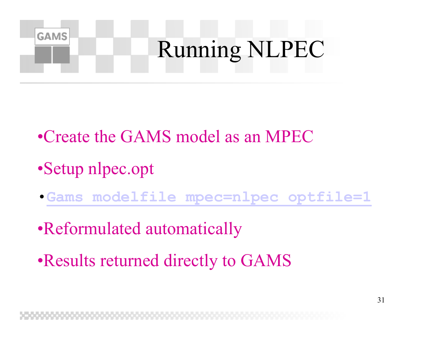

- •Create the GAMS model as an MPEC
- •Setup nlpec.opt
- •**Gams modelfile mpec=nlpec optfile=1**
- •Reformulated automatically
- •Results returned directly to GAMS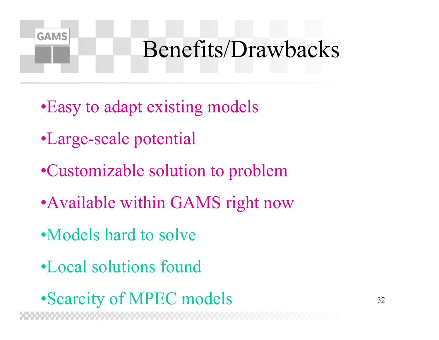## Benefits/Drawbacks

- •Easy to adapt existing models
- •Large-scale potential

- •Customizable solution to problem
- Available within GAMS right now
- •Models hard to solve
- •Local solutions found
- •Scarcity of MPEC models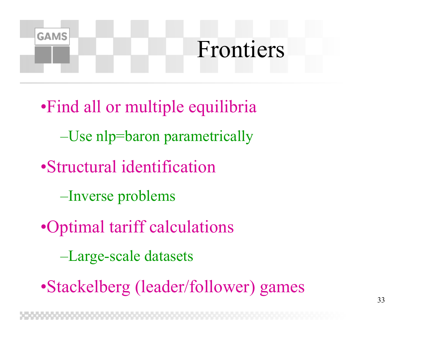### Frontiers

•Find all or multiple equilibria –Use nlp=baron parametrically •Structural identification –Inverse problems •Optimal tariff calculations –Large-scale datasets

**GAMS** 

•Stackelberg (leader/follower) games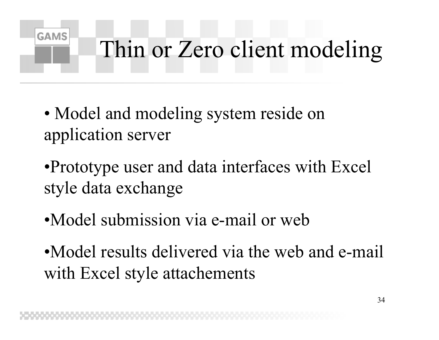# Thin or Zero client modeling

• Model and modeling system reside on application server

- •Prototype user and data interfaces with Excel style data exchange
- •Model submission via e-mail or web
- •Model results delivered via the web and e-mail with Excel style attachements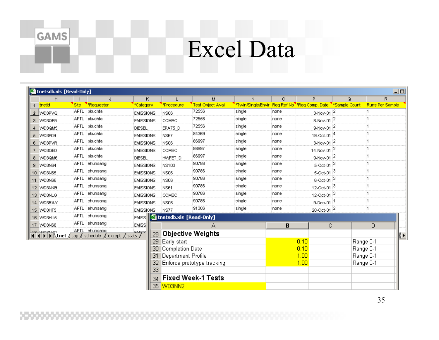### Excel Data

| 图 tnetsdb.xls [Read-Only] |                                          |      |                                   |                    |                           |                            |                                                            |         |                             |                            | 그미                     |
|---------------------------|------------------------------------------|------|-----------------------------------|--------------------|---------------------------|----------------------------|------------------------------------------------------------|---------|-----------------------------|----------------------------|------------------------|
|                           | H                                        |      | J                                 | Κ                  | L                         | M                          | N.                                                         | $\circ$ | P.                          | Q                          | $\mathsf{R}$           |
|                           | tnetid                                   | Site | *Requestor                        | *Category          | *Procedure                | <b>Test Object Avail</b>   | *Twin/Single/Envir Req Ref No <sup>1</sup> *Req Comp. Date |         |                             | <sup>'</sup> *Sample Count | <b>Runs Per Sample</b> |
|                           | 2 WD3PVQ                                 |      | APTL pkuchta                      | <b>EMISSIONS</b>   | NS06                      | 72556                      | single                                                     | none    | 3-Nov-01 $ ^{2}$            |                            |                        |
|                           | 3   WD3QE9                               |      | APTL pkuchta                      | <b>EMISSIONS</b>   | COMBO                     | 72556                      | single                                                     | none    | 8-Nov-01 $ ^{2}$            |                            |                        |
|                           | 4   WD3QM5                               |      | APTL pkuchta                      | <b>DIESEL</b>      | EPA75_D                   | 72556                      | single                                                     | none    | 9-Nov-01 $ ^{2}$            |                            |                        |
| 5.                        | WD3P09                                   |      | APTL pkuchta                      | <b>EMISSIONS</b>   | <b>NS67</b>               | 84369                      | single                                                     | none    | 19-Oct-01 <sup>4</sup>      |                            |                        |
| 6.                        | WD3PVR                                   |      | APTL pkuchta                      | <b>EMISSIONS</b>   | NS06                      | 86997                      | single                                                     | none    | 3-Nov-01 $ ^{2}$            |                            |                        |
|                           | WD3QED                                   |      | APTL pkuchta                      | <b>EMISSIONS</b>   | COMBO                     | 86997                      | single                                                     | none    | 14-Nov-01 <sup>2</sup>      |                            |                        |
| 8.                        | WD3QM6                                   |      | APTL pkuchta                      | <b>DIESEL</b>      | HMFET D                   | 86997                      | single                                                     | none    | 9-Nov-01 $^{2}$             |                            |                        |
|                           | 9   WD3N64                               |      | APTL ehunsang                     | <b>EMISSIONS</b>   | <b>NS103</b>              | 90786                      | single                                                     | none    | 5-Oct-01 $3$                |                            |                        |
|                           | 10 WD3N65                                |      | APTL jehunsang                    | <b>EMISSIONS</b>   | NS06                      | 90786                      | single                                                     | none    | 5-Oct-01 $3$                |                            |                        |
|                           | 11 WD3N66                                |      | APTL iehunsang                    | <b>EMISSIONS</b>   | NS06                      | 90786                      | single                                                     | none    | $6-0$ ct-01 $3$             |                            |                        |
|                           | 12 WD3NKB                                |      | APTL ehunsang                     | <b>EMISSIONS</b>   | NS61                      | 90786                      | single                                                     | none    | 12-Oct-01 $3$               |                            |                        |
|                           | 13 WD3NLG                                |      | APTL ehunsang                     | <b>EMISSIONS</b>   | COMBO                     | 90786                      | single                                                     | none    | 12-Oct-01 $ ^{3}$           |                            |                        |
|                           | 14 WD3RAY                                |      | APTL ehunsang                     | <b>EMISSIONS</b>   | <b>NS06</b>               | 90786                      | single                                                     | none    | $9 - Dec - 01$ <sup>1</sup> |                            |                        |
|                           | 15 WD3HT5                                |      | APTL iehunsang                    | <b>EMISSIONS</b>   | NS77                      | 91306                      | single                                                     | none    | $20$ -Oct-01 $ 2$           |                            |                        |
|                           | 16 WD3HU5                                |      | APTL jehunsang                    | EMISS <sup>1</sup> | 图 tnetsdb.xls [Read-Only] |                            |                                                            |         |                             |                            |                        |
|                           | 17   WD3N68                              |      | APTL ehunsang                     | <b>EMISS</b>       |                           | А                          |                                                            | B       | C                           |                            | D                      |
|                           | <b>He happens</b><br><b>H I F H</b> tnet |      | APTL lehunsand                    | EMICO<br>28        |                           | <b>Objective Weights</b>   |                                                            |         |                             |                            |                        |
|                           |                                          |      | cap / schedule / except / stats / | 29                 | Early start               |                            |                                                            |         | 0.10                        |                            | ଭ ।<br>Range 0-1       |
|                           |                                          |      |                                   | 30                 | Completion Date           |                            |                                                            |         | 0.10                        |                            | Range 0-1              |
|                           |                                          |      |                                   |                    | Department Profile<br>31  |                            |                                                            |         | 1.00                        |                            | Range 0-1              |
|                           |                                          |      |                                   |                    | 32.                       | Enforce prototype tracking |                                                            |         | 1.00                        |                            | Range 0-1              |
|                           |                                          |      |                                   | $\overline{33}$    |                           |                            |                                                            |         |                             |                            |                        |
|                           |                                          |      |                                   | 34                 |                           | <b>Fixed Week-1 Tests</b>  |                                                            |         |                             |                            |                        |
|                           |                                          |      |                                   |                    | 35 WD3NN2                 |                            |                                                            |         |                             |                            |                        |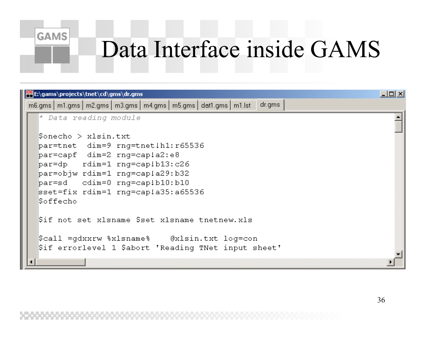### Data Interface inside GAMS

| <b>PEE:\gams\projects\tnet\cd\gms\dr.gms</b>                                                                                                                                                                                                                     | $   \Box   \times  $ |
|------------------------------------------------------------------------------------------------------------------------------------------------------------------------------------------------------------------------------------------------------------------|----------------------|
| dr.gms<br>$\lfloor m6. \text{gms} \rfloor \lfloor m1. \text{gms} \rfloor \lfloor m2. \text{gms} \rfloor \lfloor m3. \text{gms} \rfloor \lfloor m4. \text{gms} \rfloor \lfloor m5. \text{gms} \rfloor \text{dat1} \rfloor \lfloor m1. \text{lst} \rfloor$         |                      |
| * Data reading module                                                                                                                                                                                                                                            |                      |
| \$onecho > xlsin.txt<br>par=tnet dim=9 rnq=tnet!h1:r65536<br>par=capf dim=2 rng=cap!a2:e8<br>par=dp        rdim=1        rnq=cap!b13:c26<br>par=objw rdim=1 rng=cap!a29:b32<br>par=sd cdim=0 rnq=cap!b10:b10<br>sset=fix rdim=1 rng=cap!a35:a65536<br> \$offecho |                      |
| Sif not set xlsname \$set xlsname tnetnew.xls                                                                                                                                                                                                                    |                      |
| Scall =gdxxrw %xlsname% - @xlsin.txt log=con<br>\$if errorlevel 1 \$abort 'Reading TNet input sheet'                                                                                                                                                             |                      |
|                                                                                                                                                                                                                                                                  |                      |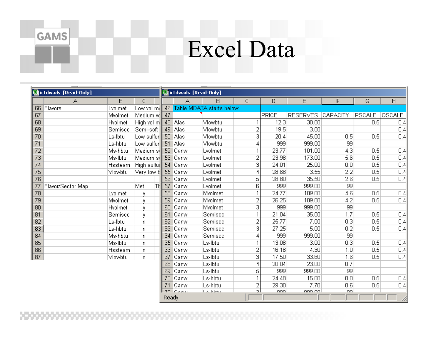### Excel Data

|                 | 图 ictdw.xls [Read-Only] |         |              |      | 图 ictdw.xls [Read-Only] |         |                           |    |       |                 |          |               |        |
|-----------------|-------------------------|---------|--------------|------|-------------------------|---------|---------------------------|----|-------|-----------------|----------|---------------|--------|
|                 | A                       | B       | C            |      |                         | А       | в                         | C  | D     | E               | F        | G             | H      |
|                 | 66 Flavors:             | Lvolmet | Low vol mill |      | 46                      |         | Table MDATA starts below: |    |       |                 |          |               |        |
| 67              |                         | Mvolmet | Medium vol   |      | 47                      |         |                           |    | PRICE | <b>RESERVES</b> | CAPACITY | <b>PSCALE</b> | QSCALE |
| 68              |                         | Hvolmet | High vol m   |      |                         | 48 Alas | Vlowbtu                   |    | 12.3  | 30.00           |          | 0.5           | 0.4    |
| 69              |                         | Semisco | Semi-soft    |      | 49                      | Alas    | Vlowbtu                   | 2  | 19.5  | 3.00            |          |               | 0.4    |
| 70              |                         | Ls-Ibtu | Low sulfur   |      |                         | 50 Alas | Vlowbtu                   | 3  | 20.4  | 45.00           | 0.5      | 0.5           | 0.4    |
| 71              |                         | Ls-hbtu | Low sulfur   |      | 51                      | Alas,   | Vlowbtu                   |    | 999   | 999.00          | 99       |               |        |
| 72              |                         | Ms-hbtu | Medium si    |      | 52                      | Canw    | Lvolmet                   |    | 23.77 | 101.00          | 4.3      | 0.5           | 0.4    |
| $\overline{73}$ |                         | Ms-Ibtu | Medium si    |      | 53                      | Canw    | Lvolmet                   | 2  | 23.98 | 173.00          | 5.6      | 0.5           | 0.4    |
| $\frac{74}{75}$ |                         | Hssteam | High sulful  |      | 54                      | Canw    | Lvolmet                   | 3  | 24.01 | 25.00           | 0.0      | 0.5           | 0.4    |
|                 |                         | Vlowbtu | Very low b   |      | 55                      | Canw    | Lvolmet                   | 4  | 28.68 | 3.55            | 2.2      | 0.5           | 0.4    |
| $\overline{76}$ |                         |         |              |      | 56                      | Canw    | Lvolmet                   | 5  | 28.80 | 35.50           | 2.6      | 0.5           | 0.4    |
| 77              | Flavor/Sector Map       |         | Met          | Tł I | 57                      | Canw    | Lvolmet                   | 6  | 999   | 999.00          | 99       |               |        |
| 78              |                         | Lvolmet | ٧            |      | 58                      | Canw    | Mvolmet                   |    | 24.77 | 109.00          | 4.6      | 0.5           | 0.4    |
| 79              |                         | Mvolmet | ٧            |      | 59                      | Canw    | Mvolmet                   | 2  | 26.25 | 109.00          | 4.2      | 0.5           | 0.4    |
| 80              |                         | Hvolmet | ٧            |      | 60                      | Canw    | Mvolmet                   | 3  | 999   | 999.00          | 99       |               |        |
| 81              |                         | Semiscc | ٧            |      | 61                      | Canw    | Semiscc                   |    | 21.04 | 35.00           | 1.7      | 0.5           | 0.4    |
| 82              |                         | Ls-Ibtu | n            |      | 62                      | Canw    | Semiscc                   | 2  | 25.77 | 7.00            | 0.3      | 0.5           | 0.4    |
| 83              |                         | Ls-hbtu | n            |      | 63                      | Canw    | Semiscc                   | 3  | 27.25 | 5.00            | 0.2      | 0.5           | 0.4    |
| 84              |                         | Ms-hbtu | n            |      | 64                      | Canw    | Semiscc                   | 4  | 999   | 999.00          | 99       |               |        |
| $\overline{85}$ |                         | Ms-Ibtu | n            |      | 65                      | Canw    | Ls-Ibtu                   |    | 13.08 | 3.00            | 0.3      | 0.5           | 0.4    |
| $\overline{86}$ |                         | Hssteam | n            |      | 66                      | Canw    | Ls-Ibtu                   | 2  | 16.18 | 4.30            | 1.0      | 0.5           | 0.4    |
| 87              |                         | Vlowbtu | n            |      | 67                      | Canw    | Ls-Ibtu                   | 3  | 17.50 | 33.60           | 1.6      | 0.5           | 0.4    |
|                 |                         |         |              |      | 68                      | Canw    | Ls-Ibtu                   |    | 20.04 | 23.00           | 0.7      |               |        |
|                 |                         |         |              |      | 69                      | Canw    | Ls-Ibtu                   | 5  | 999   | 999.00          | 99       |               |        |
|                 |                         |         |              |      | 70                      | Canw    | Ls-hbtu                   |    | 24.48 | 15.00           | 0.0      | 0.5           | 0.4    |
|                 |                         |         |              |      |                         | Canw    | Ls-hbtu                   | 2  | 29.30 | 7.70            | 0.6      | 0.5           | 0.4    |
|                 |                         |         |              |      | フロー                     | Comu    | فتغطط لطالة               | o. | nnn.  | ann an          | OO.      |               |        |
|                 |                         |         |              |      | Ready                   |         |                           |    |       |                 |          |               |        |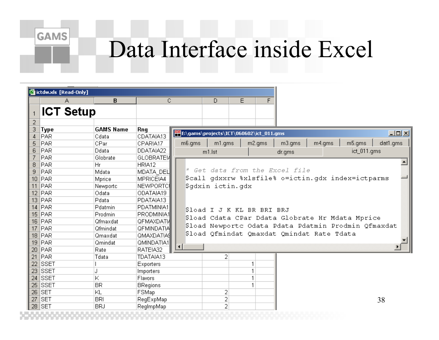#### **GAMS**

### Data Interface inside Excel

|                 | 图 ictdw.xls [Read-Only] |                  |                   |                                         |                            |   |        |                                            |                                                      |             |
|-----------------|-------------------------|------------------|-------------------|-----------------------------------------|----------------------------|---|--------|--------------------------------------------|------------------------------------------------------|-------------|
|                 | А                       | $\bf{B}$         | C                 |                                         | D                          | E | F      |                                            |                                                      |             |
|                 |                         |                  |                   |                                         |                            |   |        |                                            |                                                      |             |
|                 | <b>ICT Setup</b>        |                  |                   |                                         |                            |   |        |                                            |                                                      |             |
| 2               |                         |                  |                   |                                         |                            |   |        |                                            |                                                      |             |
| 3               | <b>Type</b>             | <b>GAMS Name</b> | Rng               |                                         |                            |   |        |                                            |                                                      |             |
| $\overline{4}$  | PAR                     | Cdata            | CDATAIA13         | E:\gams\projects\ICT\060602\ict_011.gms |                            |   |        |                                            |                                                      | I           |
| 5               | PAR                     | CPar             | CPARIA17          | m6.qms                                  | m1.qms                     |   | m2.qms | m3.qms                                     | m4.qms<br>m5.qms                                     | dat1.gms    |
| 6               | PAR                     | Ddata            | DDATAIA22         |                                         | m1.lst                     |   |        | dr.gms                                     |                                                      | ict_011.gms |
| 7               | PAR                     | Globrate         | <b>GLOBRATEIA</b> |                                         |                            |   |        |                                            |                                                      |             |
| 8               | PAR                     | Hr               | HRIA12            |                                         |                            |   |        |                                            |                                                      |             |
| 9               | PAR                     | Mdata            | MDATA DEL         |                                         |                            |   |        | Get data from the Excel file               |                                                      |             |
| 10 <sub>1</sub> | <b>PAR</b>              | Mprice           | MPRICEIA4         |                                         |                            |   |        |                                            | \$call qdxxrw %xlsfile% o=ictin.qdx index=ictparms   |             |
|                 | $11$ PAR                | Newportc         | NEWPORTC!         |                                         | Şqdxin ictin.qdx           |   |        |                                            |                                                      |             |
|                 | $12$ PAR                | Odata            | ODATAIA19         |                                         |                            |   |        |                                            |                                                      |             |
|                 | $13$ PAR                | Pdata            | PDATAIA13         |                                         |                            |   |        |                                            |                                                      |             |
|                 | $14$ PAR                | Pdatmin          | PDATMINIA1        |                                         | \$load I J K KL BR BRI BRJ |   |        |                                            |                                                      |             |
|                 | $15$ PAR                | Prodmin          | PRODMINIA1        |                                         |                            |   |        |                                            |                                                      |             |
|                 | $16$ PAR                | Qfmaxdat         | <b>QFMAXDATIA</b> |                                         |                            |   |        |                                            | Sload Cdata CPar Ddata Globrate Hr Mdata Mprice      |             |
|                 | $17$ PAR                | Qfmindat         | QFMINDAT!A        |                                         |                            |   |        |                                            | \$load Newportc Odata Pdata Pdatmin Prodmin Qfmaxdat |             |
|                 | $18$ PAR                | Qmaxdat          | QMAXDAT!AS        |                                         |                            |   |        | \$load Qfmindat Qmaxdat Qmindat Rate Tdata |                                                      |             |
| 19 <sup>°</sup> | PAR <sup>1</sup>        | Qmindat          | QMINDATIA1        |                                         |                            |   |        |                                            |                                                      |             |
| 20              | PAR <sup>1</sup>        | Rate             | RATEIA32          |                                         |                            |   |        |                                            |                                                      |             |
|                 | $21$ PAR                | Tdata            | TDATA!A13         |                                         | 2                          |   |        |                                            |                                                      |             |
| 22              | SSET                    |                  | Exporters         |                                         |                            |   |        |                                            |                                                      |             |
| 23              | SSET                    | J                | Importers         |                                         |                            |   |        |                                            |                                                      |             |
|                 | 24 SSET                 | Κ                | Flavors           |                                         |                            |   |        |                                            |                                                      |             |
|                 | $25$ SSET               | <b>BR</b>        | <b>BRegions</b>   |                                         |                            |   |        |                                            |                                                      |             |
| 26              | <b>SET</b>              | ΙKL              | FSMap             |                                         | 2                          |   |        |                                            |                                                      |             |
|                 | $27$ SET                | <b>BRI</b>       | RegExpMap         |                                         | 2                          |   |        |                                            |                                                      | 38          |
| 28              | <b>SET</b>              | <b>BRJ</b>       | RegimpMap         |                                         | $\overline{2}$             |   |        |                                            |                                                      |             |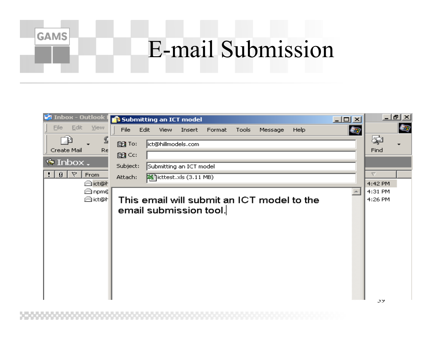## E-mail Submission

| <b>St Inbox - Outlook I</b> | Submitting an ICT model                                                            | $\Box$ o $\times$ | <u>니리지</u>         |
|-----------------------------|------------------------------------------------------------------------------------|-------------------|--------------------|
| Edit<br>File<br>View.       | File<br>Edit<br>Insert<br>Format<br>Tools<br>Message<br><b>Help</b><br><b>View</b> | 每                 | 每                  |
| ≝<br>Create Mail<br>Re      | ict@hillmodels.com<br>图 To:                                                        |                   | Ç<br>Find          |
|                             | 图CC:                                                                               |                   |                    |
| $\bullet$ Inbox.            | Subject:<br>Submitting an ICT model                                                |                   |                    |
| Ÿ<br>$\theta$  <br>From     | icttest.xls (3.11 MB)<br>Attach:                                                   |                   | ▽                  |
| tet@ h<br>tion n⊟           |                                                                                    |                   | 4:42 PM<br>4:31 PM |
| ict@H                       | This email will submit an ICT model to the                                         |                   | 4:26 PM            |
|                             | email submission tool.                                                             |                   |                    |
|                             |                                                                                    |                   |                    |
|                             |                                                                                    |                   |                    |
|                             |                                                                                    |                   |                    |
|                             |                                                                                    |                   |                    |
|                             |                                                                                    |                   |                    |
|                             |                                                                                    |                   |                    |
|                             |                                                                                    |                   |                    |
|                             |                                                                                    |                   |                    |
|                             |                                                                                    |                   | $\sim$             |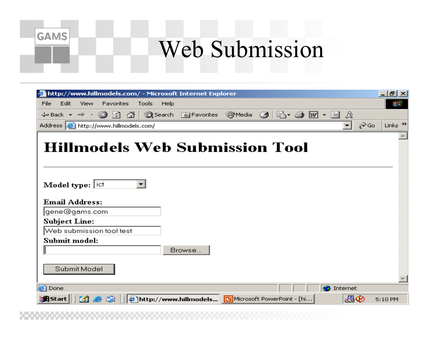### Web Submission

| http://www.hillmodels.com/ - Microsoft Internet Explorer<br>Edit<br>View<br>Favorites<br>Tools<br>Help<br>File<br>↓Back ← → ← ◎ ⑦ ۞ ◎Search Favorites ③Media ③ ② ③ ●  ← 国 ☆<br>Address <b>&amp;</b> http://www.hillmodels.com/<br>⊘Go<br>▾╎<br><b>Hillmodels Web Submission Tool</b><br>$\overline{\phantom{a}}$<br><b>Model type:</b> $ ict $<br><b>Email Address:</b><br>gene@gams.com <br><b>Subject Line:</b><br>Web submission tool test<br>Submit model: | 그리지                 |
|----------------------------------------------------------------------------------------------------------------------------------------------------------------------------------------------------------------------------------------------------------------------------------------------------------------------------------------------------------------------------------------------------------------------------------------------------------------|---------------------|
|                                                                                                                                                                                                                                                                                                                                                                                                                                                                |                     |
|                                                                                                                                                                                                                                                                                                                                                                                                                                                                | 御                   |
|                                                                                                                                                                                                                                                                                                                                                                                                                                                                |                     |
|                                                                                                                                                                                                                                                                                                                                                                                                                                                                | Links $\rightarrow$ |
|                                                                                                                                                                                                                                                                                                                                                                                                                                                                |                     |
|                                                                                                                                                                                                                                                                                                                                                                                                                                                                |                     |
|                                                                                                                                                                                                                                                                                                                                                                                                                                                                |                     |
|                                                                                                                                                                                                                                                                                                                                                                                                                                                                |                     |
|                                                                                                                                                                                                                                                                                                                                                                                                                                                                |                     |
|                                                                                                                                                                                                                                                                                                                                                                                                                                                                |                     |
|                                                                                                                                                                                                                                                                                                                                                                                                                                                                |                     |
|                                                                                                                                                                                                                                                                                                                                                                                                                                                                |                     |
|                                                                                                                                                                                                                                                                                                                                                                                                                                                                |                     |
|                                                                                                                                                                                                                                                                                                                                                                                                                                                                |                     |
|                                                                                                                                                                                                                                                                                                                                                                                                                                                                |                     |
| Browse                                                                                                                                                                                                                                                                                                                                                                                                                                                         |                     |
|                                                                                                                                                                                                                                                                                                                                                                                                                                                                |                     |
| Submit Model                                                                                                                                                                                                                                                                                                                                                                                                                                                   |                     |
|                                                                                                                                                                                                                                                                                                                                                                                                                                                                |                     |
| e Done<br>Internet                                                                                                                                                                                                                                                                                                                                                                                                                                             |                     |
| Ⴥ⊘<br><b>B</b> Start<br>http://www.hillmodels G Microsoft PowerPoint - [hi<br>ø<br>5:10 PM                                                                                                                                                                                                                                                                                                                                                                     |                     |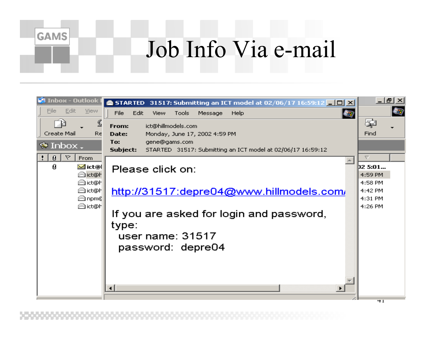### Job Info Via e-mail

| ۴۹<br><b>Inbox - Outlook</b>               | <b>STARTED</b> 31517: Submitting an ICT model at 02/06/17 16:59:12 $\blacksquare$ $\blacksquare$ | <u>니레지</u>                    |
|--------------------------------------------|--------------------------------------------------------------------------------------------------|-------------------------------|
| Edit<br>View<br>File                       | 每<br>File<br>Edit<br>View<br>Tools<br>Message<br>Help                                            | 每                             |
| ⅀                                          | ict@hillmodels.com<br>From:                                                                      | Ş                             |
| Create Mail<br>Re                          | Monday, June 17, 2002 4:59 PM<br>Date:                                                           | Find                          |
| $\bullet$ Inbox.                           | To:<br>gene@gams.com<br>Subject:<br>STARTED 31517: Submitting an ICT model at 02/06/17 16:59:12  |                               |
| ▽<br>Ø.<br>From<br>Ø<br>⊻4 ict@l<br>tet@ h | Please click on:                                                                                 | (12 5:01<br>4:59 PM           |
| tet@h<br>tet@h<br>tion nome                | http://31517:depre04@www.hillmodels.com/                                                         | 4:58 PM<br>4:42 PM<br>4:31 PM |
| <b>A</b> ict@H                             | If you are asked for login and password,<br>type:<br>user name: 31517<br>password: depre04       | 4:26 PM                       |
|                                            |                                                                                                  | 41                            |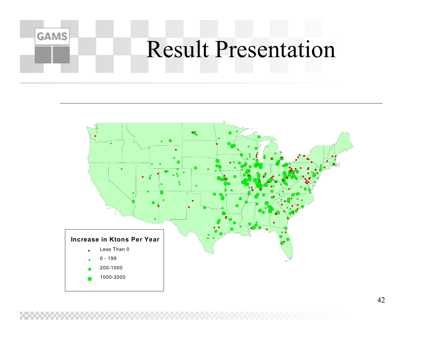### **GAMS** Result Presentation

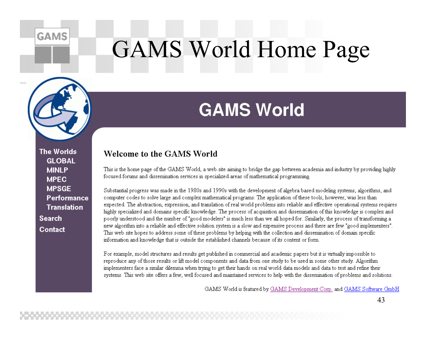#### **GAMS**

## **GAMS World Home Page**



**The Worlds GLOBAL MINLP MPEC MPSGF** Performance **Translation Search** Contact

### **GAMS World**

#### **Welcome to the GAMS World**

This is the home page of the GAMS World, a web site aiming to bridge the gap between academia and industry by providing highly focused forums and dissemination services in specialized areas of mathematical programming.

Substantial progress was made in the 1980s and 1990s with the development of algebra based modeling systems, algorithms, and computer codes to solve large and complex mathematical programs. The application of these tools, however, was less than expected. The abstraction, expression, and translation of real world problems into reliable and effective operational systems requires highly specialized and domains specific knowledge. The process of acquisition and dissemination of this knowledge is complex and poorly understood and the number of "good modelers" is much less than we all hoped for. Similarly, the process of transforming a new algorithm into a reliable and effective solution system is a slow and expensive process and there are few "good implementers". This web site hopes to address some of these problems by helping with the collection and dissemination of domain specific information and knowledge that is outside the established channels because of its content or form.

For example, model structures and results get published in commercial and academic papers but it is virtually impossible to reproduce any of those results or lift model components and data from one study to be used in some other study. Algorithm implementers face a similar dilemma when trying to get their hands on real world data models and data to test and refine their systems. This web site offers a few, well focused and maintained services to help with the dissemination of problems and solutions.

GAMS World is featured by GAMS Development Corp. and GAMS Software GmbH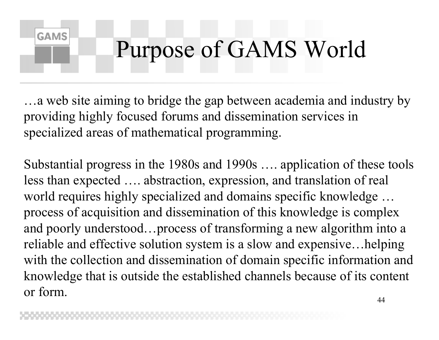## Purpose of GAMS World

…a web site aiming to bridge the gap between academia and industry by providing highly focused forums and dissemination services in specialized areas of mathematical programming.

**GAMS** 

Substantial progress in the 1980s and 1990s …. application of these tools less than expected …. abstraction, expression, and translation of real world requires highly specialized and domains specific knowledge … process of acquisition and dissemination of this knowledge is complex and poorly understood…process of transforming a new algorithm into a reliable and effective solution system is a slow and expensive…helping with the collection and dissemination of domain specific information and knowledge that is outside the established channels because of its content or form.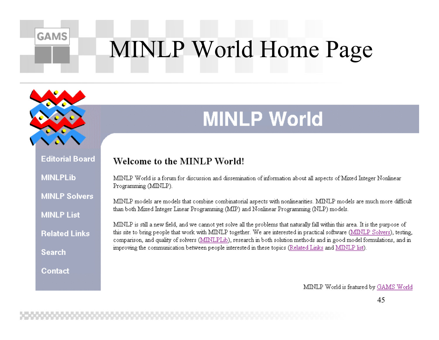# **MINLP World Home Page**

### **MINLP World**

**Editorial Board MINLPLib** 

**GAMS** 

**MINLP Solvers** 

**MINLP List** 

**Related Links** 

**Search** 

Contact

#### Welcome to the MINLP World!

MINLP World is a forum for discussion and dissemination of information about all aspects of Mixed Integer Nonlinear Programming (MINLP).

MINLP models are models that combine combinatorial aspects with nonlinearities. MINLP models are much more difficult than both Mixed Integer Linear Programming (MIP) and Nonlinear Programming (NLP) models.

MINLP is still a new field, and we cannot yet solve all the problems that naturally fall within this area. It is the purpose of this site to bring people that work with MINLP together. We are interested in practical software (MINLP Solvers), testing, comparison, and quality of solvers (MINLPLib), research in both solution methods and in good model formulations, and in improving the communication between people interested in these topics (Related Links and MINLP list).

MINLP World is featured by GAMS World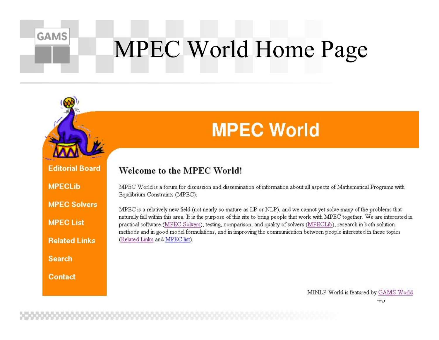# **MPEC World Home Page**



**GAMS** 

### **MPEC World**

**Editorial Board** 

**MPECLIb** 

**MPEC Solvers** 

**MPEC List** 

**Related Links** 

**Search** 

Contact

#### Welcome to the MPEC World!

MPEC World is a forum for discussion and dissemination of information about all aspects of Mathematical Programs with Equilibrium Constraints (MPEC).

MPEC is a relatively new field (not nearly so mature as LP or NLP), and we cannot yet solve many of the problems that naturally fall within this area. It is the purpose of this site to bring people that work with MPEC together. We are interested in practical software (MPEC Solvers), testing, comparison, and quality of solvers (MPECLib), research in both solution methods and in good model formulations, and in improving the communication between people interested in these topics (Related Links and MPEC list).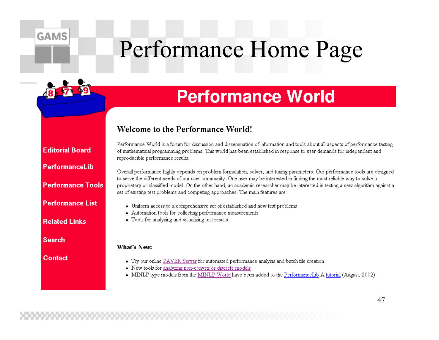## Performance Home Page

### **Performance World**

#### **Welcome to the Performance World!**

Performance World is a forum for discussion and dissemination of information and tools about all aspects of performance testing of mathematical programming problems. This world has been established in response to user demands for independent and reproducible performance results.

Overall performance highly depends on problem formulation, solver, and tuning parameters. Our performance tools are designed to serve the different needs of our user community. One user may be interested in finding the most reliable way to solve a proprietary or classified model. On the other hand, an academic researcher may be interested in testing a new algorithm against a set of existing test problems and competing approaches. The main features are:

- Uniform access to a comprehensive set of established and new test problems
- Automation tools for collecting performance measurements
- Tools for analyzing and visualizing test results

#### What's New:

- Try our online PAVER Server for automated performance analysis and batch file creation
- New tools for analyzing non-convex or discrete models
- MINLP type models from the MINLP World have been added to the PerformanceLib A tutorial (August, 2002)

**Editorial Board** 

**GAMS** 

Performancel ib

**Performance Tools** 

**Performance List** 

**Related Links** 

**Search** 

**Contact**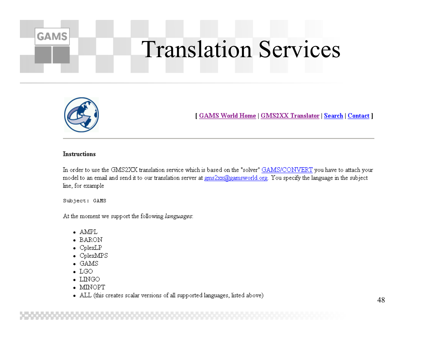## **Translation Services**



**GAMS** 

[GAMS World Home | GMS2XX Translator | Search | Contact ]

#### **Instructions**

In order to use the GMS2XX translation service which is based on the "solver" GAMS/CONVERT you have to attach your model to an email and send it to our translation server at gms2xx@gamsworld.org. You specify the language in the subject line, for example

Subject: GAMS

At the moment we support the following languages:

- $\bullet$  AMPL
- BARON
- $\bullet$  CplexLP
- $\bullet$  CplexMPS
- $\bullet$  GAMS
- $\bullet$  LGO
- $\bullet$  LINGO
- $\bullet$  MINOPT
- ALL (this creates scalar versions of all supported languages, listed above)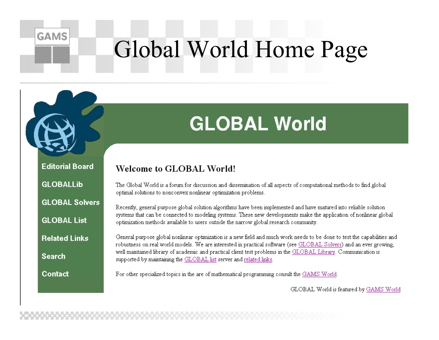## Global World Home Page

### **GLOBAL World**

**Editorial Board** 

**GLOBALLib** 

**GAMS** 

**GLOBAL Solvers** 

**GLOBAL List** 

**Related Links** 

**Search** 

Contact

#### **Welcome to GLOBAL World!**

The Global World is a forum for discussion and dissemination of all aspects of computational methods to find global optimal solutions to nonconvex nonlinear optimization problems.

Recently, general purpose global solution algorithms have been implemented and have matured into reliable solution systems that can be connected to modeling systems. These new developments make the application of nonlinear global optimization methods available to users outside the narrow global research community.

General purpose global nonlinear optimization is a new field and much work needs to be done to test the capabilities and robustness on real world models. We are interested in practical software (see GLOBAL Solvers) and an ever growing, well maintained library of academic and practical client test problems in the GLOBAL Library. Communication is supported by maintaining the GLOBAL list server and related links.

For other specialized topics in the are of mathematical programming consult the GAMS World.

GLOBAL World is featured by GAMS World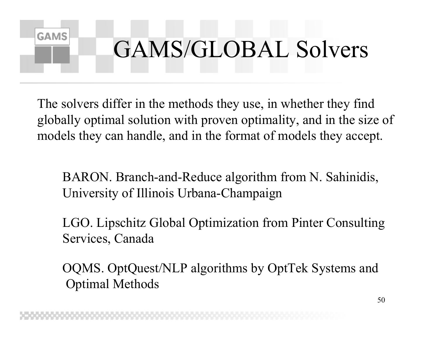## GAMS/GLOBAL Solvers

The solvers differ in the methods they use, in whether they find globally optimal solution with proven optimality, and in the size of models they can handle, and in the format of models they accept.

**GAMS** 

BARON. Branch-and-Reduce algorithm from N. Sahinidis, University of Illinois Urbana-Champaign

LGO. Lipschitz Global Optimization from Pinter Consulting Services, Canada

OQMS. OptQuest/NLP algorithms by OptTek Systems and Optimal Methods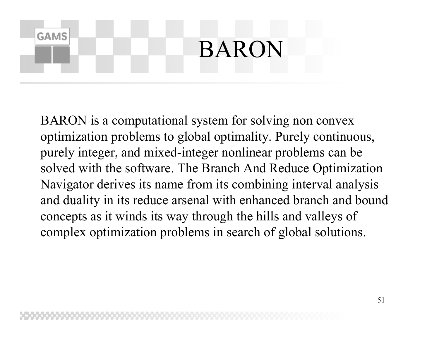## BARON

**GAMS** 

BARON is a computational system for solving non convex optimization problems to global optimality. Purely continuous, purely integer, and mixed-integer nonlinear problems can be solved with the software. The Branch And Reduce Optimization Navigator derives its name from its combining interval analysis and duality in its reduce arsenal with enhanced branch and bound concepts as it winds its way through the hills and valleys of complex optimization problems in search of global solutions.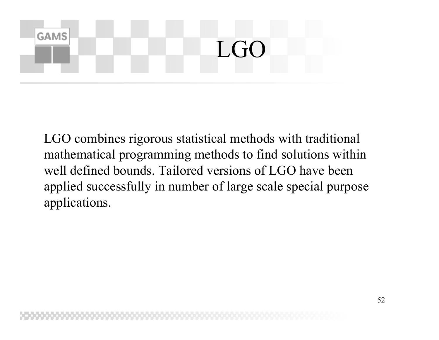## **GAMS** LGO

LGO combines rigorous statistical methods with traditional mathematical programming methods to find solutions within well defined bounds. Tailored versions of LGO have been applied successfully in number of large scale special purpose applications.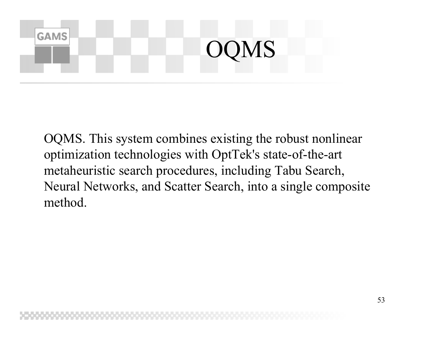### **GAMS** OQMS

OQMS. This system combines existing the robust nonlinear optimization technologies with OptTek's state-of-the-art metaheuristic search procedures, including Tabu Search, Neural Networks, and Scatter Search, into a single composite method.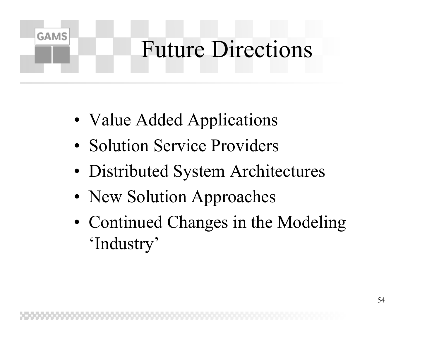## Future Directions

• Value Added Applications

- Solution Service Providers
- Distributed System Architectures
- New Solution Approaches
- Continued Changes in the Modeling 'Industry'